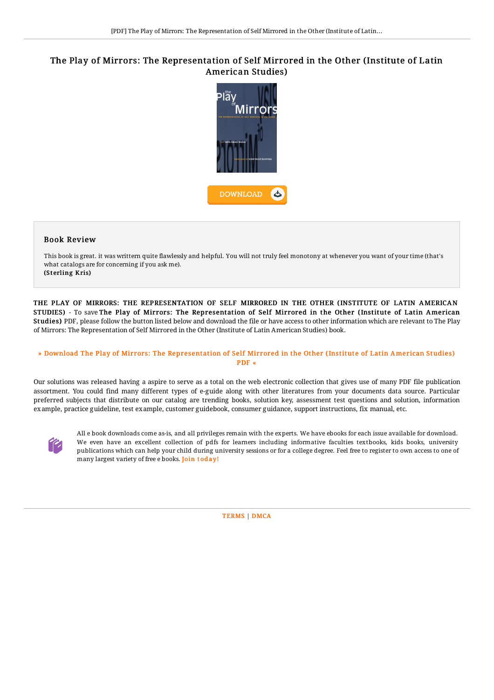# The Play of Mirrors: The Representation of Self Mirrored in the Other (Institute of Latin American Studies)



### Book Review

This book is great. it was writtern quite flawlessly and helpful. You will not truly feel monotony at whenever you want of your time (that's what catalogs are for concerning if you ask me). (Sterling Kris)

THE PLAY OF MIRRORS: THE REPRESENTATION OF SELF MIRRORED IN THE OTHER (INSTITUTE OF LATIN AMERICAN STUDIES) - To save The Play of Mirrors: The Representation of Self Mirrored in the Other (Institute of Latin American Studies) PDF, please follow the button listed below and download the file or have access to other information which are relevant to The Play of Mirrors: The Representation of Self Mirrored in the Other (Institute of Latin American Studies) book.

## » Download The Play of Mirrors: The [Representation](http://albedo.media/the-play-of-mirrors-the-representation-of-self-m.html) of Self Mirrored in the Other (Institute of Latin American Studies) PDF «

Our solutions was released having a aspire to serve as a total on the web electronic collection that gives use of many PDF file publication assortment. You could find many different types of e-guide along with other literatures from your documents data source. Particular preferred subjects that distribute on our catalog are trending books, solution key, assessment test questions and solution, information example, practice guideline, test example, customer guidebook, consumer guidance, support instructions, fix manual, etc.



All e book downloads come as-is, and all privileges remain with the experts. We have ebooks for each issue available for download. We even have an excellent collection of pdfs for learners including informative faculties textbooks, kids books, university publications which can help your child during university sessions or for a college degree. Feel free to register to own access to one of many largest variety of free e books. Join t[oday!](http://albedo.media/the-play-of-mirrors-the-representation-of-self-m.html)